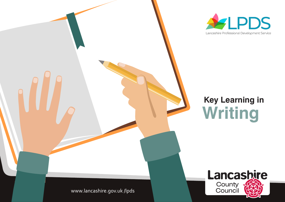



# **Key Learning in Writing**

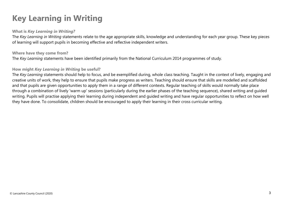# **Key Learning in Writing**

#### **What is** *Key Learning in Writing?*

 The *Key Learning in Writing* statements relate to the age appropriate skills, knowledge and understanding for each year group. These key pieces of learning will support pupils in becoming effective and reflective independent writers.

#### **Where have they come from?**

The *Key Learning* statements have been identified primarily from the National Curriculum 2014 programmes of study.

#### **How might** *Key Learning in Writing* **be useful?**

The *Key Learning* statements should help to focus, and be exemplified during, whole class teaching. Taught in the context of lively, engaging and creative units of work, they help to ensure that pupils make progress as writers. Teaching should ensure that skills are modelled and scaffolded and that pupils are given opportunities to apply them in a range of different contexts. Regular teaching of skills would normally take place through a combination of lively 'warm up' sessions (particularly during the earlier phases of the teaching sequence), shared writing and guided writing. Pupils will practise applying their learning during independent and guided writing and have regular opportunities to reflect on how well they have done. To consolidate, children should be encouraged to apply their learning in their cross curricular writing.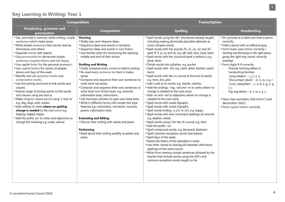| <b>Composition</b>                                                                                                                                                                                                                                                                                                                                                                                                                                                                                                                                                                                                                                                                                                                                                                                                                                                                                                      |                                                                                                                                                                                                                                                                                                                                                                                                                                                                                                                                                                                                                                                                                                                                                                                                                                                                                                                                                | <b>Transcription</b>                                                                                                                                                                                                                                                                                                                                                                                                                                                                                                                                                                                                                                                                                                                                                                                                                                                                                                                                                                                                                                                                                                                                                                                                                                                                                                                                                                                                                                                                          |                                                                                                                                                                                                                                                                                                                                                                                                                                                                                                                                                                                                                          |
|-------------------------------------------------------------------------------------------------------------------------------------------------------------------------------------------------------------------------------------------------------------------------------------------------------------------------------------------------------------------------------------------------------------------------------------------------------------------------------------------------------------------------------------------------------------------------------------------------------------------------------------------------------------------------------------------------------------------------------------------------------------------------------------------------------------------------------------------------------------------------------------------------------------------------|------------------------------------------------------------------------------------------------------------------------------------------------------------------------------------------------------------------------------------------------------------------------------------------------------------------------------------------------------------------------------------------------------------------------------------------------------------------------------------------------------------------------------------------------------------------------------------------------------------------------------------------------------------------------------------------------------------------------------------------------------------------------------------------------------------------------------------------------------------------------------------------------------------------------------------------------|-----------------------------------------------------------------------------------------------------------------------------------------------------------------------------------------------------------------------------------------------------------------------------------------------------------------------------------------------------------------------------------------------------------------------------------------------------------------------------------------------------------------------------------------------------------------------------------------------------------------------------------------------------------------------------------------------------------------------------------------------------------------------------------------------------------------------------------------------------------------------------------------------------------------------------------------------------------------------------------------------------------------------------------------------------------------------------------------------------------------------------------------------------------------------------------------------------------------------------------------------------------------------------------------------------------------------------------------------------------------------------------------------------------------------------------------------------------------------------------------------|--------------------------------------------------------------------------------------------------------------------------------------------------------------------------------------------------------------------------------------------------------------------------------------------------------------------------------------------------------------------------------------------------------------------------------------------------------------------------------------------------------------------------------------------------------------------------------------------------------------------------|
| Vocabulary, grammar and<br>punctuation                                                                                                                                                                                                                                                                                                                                                                                                                                                                                                                                                                                                                                                                                                                                                                                                                                                                                  | <b>Composition</b>                                                                                                                                                                                                                                                                                                                                                                                                                                                                                                                                                                                                                                                                                                                                                                                                                                                                                                                             | <b>Spelling</b>                                                                                                                                                                                                                                                                                                                                                                                                                                                                                                                                                                                                                                                                                                                                                                                                                                                                                                                                                                                                                                                                                                                                                                                                                                                                                                                                                                                                                                                                               | <b>Handwriting</b>                                                                                                                                                                                                                                                                                                                                                                                                                                                                                                                                                                                                       |
| "Say, and hold in memory whilst writing, simple<br>sentences which make sense.<br>"Write simple sentences that can be read by<br>themselves and others.<br>Separate words with spaces.<br>"Use punctuation to demarcate simple<br>sentences (capital letters and full stops).<br>"Use capital letter for the personal pronoun I.<br>"Use capital letters for names of people,<br>places and days of the week.<br>"Identify and use question marks and<br>exclamation marks.<br>Use the joining word and to link words and<br>clauses.<br>Extend range of joining words to link words<br>and clauses using but and or.<br>"Make singular nouns plural using 's' and 'es'<br>e.g. dog, dogs; wish, wishes.<br>" Add suffixes to verbs where no spelling<br>change is needed to the root word e.g.<br>helping, helped, helper.<br>Add the prefix 'un' to verbs and adjectives to<br>change the meaning e.g. untie, unkind. | <b>Planning</b><br>Orally plan and rehearse ideas.<br>Sequence ideas and events in narrative.<br>Sequence ideas and events in non-fiction.<br>Use familiar plots for structuring the opening,<br>middle and end of their stories.<br><b>Drafting and Writing</b><br>" Orally compose every sentence before writing.<br>Re-read every sentence to check it makes<br>sense.<br>"Compose and sequence their own sentences to<br>write short narratives.<br>"Compose and sequence their own sentences to<br>write short non-fiction texts, e.g. recounts,<br>information texts, instructions.<br>"Use formulaic phrases to open and close texts.<br>■ Write in different forms with simple text type<br>features e.g. instructions, narratives, recounts,<br>poems, information texts.<br><b>Evaluating and Editing</b><br>"Discuss their writing with adults and peers.<br>Performing<br>Read aloud their writing audibly to adults and<br>peers. | "Spell words using the 40+ phonemes already taught,<br>including making phonically plausible attempts at<br>more complex words.<br>"Spell words with the sounds /f/, /l/, /s/, /z/ and /k/<br>spelt ff, II, ss, zz and ck, e.g. off, well, miss, buzz, back.<br>"Spell words with the /ŋ/sound spelt n before k, e.g.<br>bank, think.<br>Divide words into syllables, e.g. pocket.<br>"Spell words with -tch, e.g. catch, fetch, kitchen, notch,<br>hutch.<br>"Spell words with the /v/ sound at the end of words,<br>e.g. have, live, give.<br>Add s and es to words, e.g. thanks, catches.<br>Add the endings -ing, -ed and -er to verbs where no<br>change is needed to the root word.<br>Add -er and -est to adjectives where no change is<br>needed to the root word.<br>Spell words with vowel digraphs.<br>" Spell words with vowel trigraphs.<br>" Spell words ending -y (/i:/ or /I/), e.g. happy.<br>"Spell words with new consonant spellings ph and wh,<br>e.g. dolphin, wheel.<br>"Spell words using k for the /k/ sound, e.g. Kent.<br>Add the prefix -un.<br>"Spell compound words, e.g. farmyard, bedroom.<br>" Spell common exception words (see below).<br>Spell days of the week.<br>■ Name the letters of the alphabet in order.<br>Use letter names to distinguish between alternative<br>spellings of the same sound.<br>■ Write from memory simple sentences dictated by the<br>teacher that include words using the GPCs and<br>common exception words taught so far. | Sit correctly at a table and hold a pencil<br>correctly.<br>Hold a pencil with an effective grip.<br>" Form lower-case letters correctly -<br>starting and finishing in the right place,<br>going the right way round, correctly<br>oriented.<br>Form digits 0-9 correctly.<br>Practise forming letters in<br>handwriting families:<br>'Long ladders' $-$ i, j, l, t, u,<br>'One armed robots' - b, h, m, n p, r<br>'Curly caterpillars' - c, a, d, e, g, o, q,<br>f, s<br>Zig-zag letters - k, v, w, x, y, z<br>Have clear ascenders ('tall letters') and<br>descenders ('tails').<br>" Form capital letters correctly. |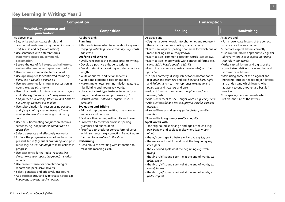| <b>Composition</b>                                                                                                                                                                                                                                                                                                                                                                                                                                                                                                                                                                                                                                                                                                                                                                                                                                                                                                                                                                                                                                                                                                                                                                                                                                                                                                                                                                                                                                                                                                                                                |                                                                                                                                                                                                                                                                                                                                                                                                                                                                                                                                                                                                                                                                                                                                                                                                                                                                                                                                                                                                                                                                                                                                                                             | <b>Transcription</b>                                                                                                                                                                                                                                                                                                                                                                                                                                                                                                                                                                                                                                                                                                                                                                                                                                                                                                                                                                                                                                                                                                                                                                                                                                                                                                                                                                                                                                                                                                                                                                                                    |                                                                                                                                                                                                                                                                                                                                                                                                                                                                                                                                                                                                                                   |  |
|-------------------------------------------------------------------------------------------------------------------------------------------------------------------------------------------------------------------------------------------------------------------------------------------------------------------------------------------------------------------------------------------------------------------------------------------------------------------------------------------------------------------------------------------------------------------------------------------------------------------------------------------------------------------------------------------------------------------------------------------------------------------------------------------------------------------------------------------------------------------------------------------------------------------------------------------------------------------------------------------------------------------------------------------------------------------------------------------------------------------------------------------------------------------------------------------------------------------------------------------------------------------------------------------------------------------------------------------------------------------------------------------------------------------------------------------------------------------------------------------------------------------------------------------------------------------|-----------------------------------------------------------------------------------------------------------------------------------------------------------------------------------------------------------------------------------------------------------------------------------------------------------------------------------------------------------------------------------------------------------------------------------------------------------------------------------------------------------------------------------------------------------------------------------------------------------------------------------------------------------------------------------------------------------------------------------------------------------------------------------------------------------------------------------------------------------------------------------------------------------------------------------------------------------------------------------------------------------------------------------------------------------------------------------------------------------------------------------------------------------------------------|-------------------------------------------------------------------------------------------------------------------------------------------------------------------------------------------------------------------------------------------------------------------------------------------------------------------------------------------------------------------------------------------------------------------------------------------------------------------------------------------------------------------------------------------------------------------------------------------------------------------------------------------------------------------------------------------------------------------------------------------------------------------------------------------------------------------------------------------------------------------------------------------------------------------------------------------------------------------------------------------------------------------------------------------------------------------------------------------------------------------------------------------------------------------------------------------------------------------------------------------------------------------------------------------------------------------------------------------------------------------------------------------------------------------------------------------------------------------------------------------------------------------------------------------------------------------------------------------------------------------------|-----------------------------------------------------------------------------------------------------------------------------------------------------------------------------------------------------------------------------------------------------------------------------------------------------------------------------------------------------------------------------------------------------------------------------------------------------------------------------------------------------------------------------------------------------------------------------------------------------------------------------------|--|
| <b>Vocabulary, grammar and</b><br>punctuation                                                                                                                                                                                                                                                                                                                                                                                                                                                                                                                                                                                                                                                                                                                                                                                                                                                                                                                                                                                                                                                                                                                                                                                                                                                                                                                                                                                                                                                                                                                     | <b>Composition</b>                                                                                                                                                                                                                                                                                                                                                                                                                                                                                                                                                                                                                                                                                                                                                                                                                                                                                                                                                                                                                                                                                                                                                          | <b>Spelling</b>                                                                                                                                                                                                                                                                                                                                                                                                                                                                                                                                                                                                                                                                                                                                                                                                                                                                                                                                                                                                                                                                                                                                                                                                                                                                                                                                                                                                                                                                                                                                                                                                         | <b>Handwriting</b>                                                                                                                                                                                                                                                                                                                                                                                                                                                                                                                                                                                                                |  |
| As above and:<br>Say, write and punctuate simple and<br>compound sentences using the joining words<br>and, but, so and or (co-ordination).<br>Use sentences with different forms:<br>statement, question, command,<br>exclamation.<br>" Secure the use of full stops, capital letters,<br>exclamation marks and question marks.<br>"Use commas to separate items in a list.<br>"Use apostrophes for contracted forms e.g.<br>don't, can't, wouldn't, you're, I'll.<br>"Use apostrophes for singular possession in<br>nouns, e.g. the girl's name.<br>Use subordination for time using when, before<br>and after e.g. We went out to play when we<br>had finished our writing. When we had finished<br>our writing, we went out to play.<br>Use subordination for reason using because<br>and if e.g. I put my coat on because it was<br>raining. Because it was raining, I put on my<br>coat.<br>Use the subordinating conjunction that in a<br>sentence, e.g. I hope that it doesn't rain on<br>sports day.<br>Select, generate and effectively use verbs.<br>Explore the progressive form of verbs in the<br>present tense (e.g. she is drumming) and past<br>tense (e.g. he was shouting) to mark actions in<br>progress.<br>Use past tense for narrative, recount (e.g.<br>diary, newspaper report, biography) historical<br>reports.<br>"Use present tense for non-chronological<br>reports and persuasive adverts.<br>Select, generate and effectively use nouns.<br>" Add suffixes ness and er to craate nouns e.g.<br>happiness, sadness, teacher, baker. | As above and:<br><b>Planning</b><br>■ Plan and discuss what to write about e.g. story<br>mapping, collecting new vocabulary, key words<br>and ideas.<br><b>Drafting and Writing</b><br>" Orally rehearse each sentence prior to writing.<br>■ Develop a positive attitude to writing.<br>" Develop stamina for writing in order to write at<br>length.<br>■ Write about real and fictional events.<br>■ Write simple poems based on models.<br>"Make simple notes from non-fiction texts, e.g.<br>highlighting and noting key words.<br>Use specific text type features to write for a<br>range of audiences and purposes e.g. to<br>instruct, inform, entertain, explain, discuss,<br>persuade.<br><b>Evaluating and Editing</b><br>Edit and improve own writing in relation to<br>audience and purpose.<br>" Evaluate their writing with adults and peers.<br>■ Proofread to check for errors in spelling,<br>grammar and punctuation.<br>■ Proofread to check for correct form of verbs<br>within sentences, e.g. correcting he walking to<br>the shop to he walked to the shop.<br>Performing<br>Read aloud their writing with intonation to<br>make the meaning clear. | As above and:<br>■ Segment spoken words into phonemes and represent<br>these by graphemes, spelling many correctly.<br>Learn new ways of spelling phonemes for which one or<br>more spellings are already known.<br>" Learn to spell common exception words (see below).<br>"Learn to spell more words with contracted forms, e.g.<br>can't, didn't, hasn't, couldn't, it's, I'll.<br>"Learn the possessive apostrophe (singular), e.g. the<br>girl's book.<br>" To spell correctly, distinguish between homophones<br>(e.g. here and hear; sea and see; bear and bare; night<br>and knight) and near-homophones (e.g. quite and<br>quiet; one and won; are and our).<br>Add suffixes ness and er e.g. happiness, sadness,<br>teacher, baker.<br>" Add suffix ment to spell longer words, e.g. enjoyment.<br>" Add suffixes ful and less e.g. playful, careful, careless,<br>hopeless.<br>Use suffixes er and est e.g. faster, fastest, smaller,<br>smallest.<br>Use suffix ly e.g. slowly, gently, carefully.<br>Spell words with:<br>- the /dʒ/ sound spelt as ge and dge at the end (e.g.<br>age, badge), and spelt as g elsewhere (e.g. magic,<br>giant).<br>- the /s/ sound spelt c before e, i and y, e.g. ice, cell<br>- the /n/ sound spelt kn and gn at the beginning, e.g.<br>knee, gnat.<br>the /J/ sound spelt wr at the beginning e.g. wrote,<br>wrong.<br>- the /l/ or /əl/ sound spelt -le at the end of words, e.g.<br>table, apple.<br>- the /l/ or /əl/ sound spelt -el at the end of words, e.g.<br>camel, tunnel.<br>- the /l/ or /əl/ sound spelt -al at the end of words, e.g.<br>pedal, capital. | As above and:<br>"Form lower-case letters of the correct<br>size relative to one another.<br>Orientate capital letters correctly.<br>Use capital letters appropriately e.g. not<br>always writing A as a capital, not using<br>capitals within words.<br>"Write capital letters and digits of the<br>correct size relative to one another and<br>to lower case letters.<br>Start using some of the diagonal and<br>horizontal strokes needed to join letters<br>and understand which letters, when<br>adjacent to one another, are best left<br>unjoined.<br>Use spacing between words which<br>reflects the size of the letters. |  |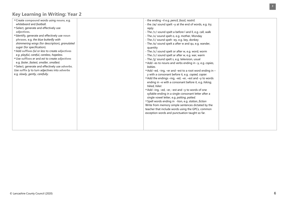| "Create compound words using nouns, e.g.       | - the ending -il e.g. pencil, fossil, nostril.            |  |
|------------------------------------------------|-----------------------------------------------------------|--|
| whiteboard and football.                       | - the /aɪ/ sound spelt -y at the end of words, e.g. try,  |  |
| Select, generate and effectively use           | reply.                                                    |  |
| adjectives.                                    | - The /ɔ:/ sound spelt a before I and II, e.g. call, walk |  |
| "Identify, generate and effectively use noun   | - The /^/ sound spelt o, e.g. mother, Monday              |  |
| phrases, e.g. the blue butterfly with          | - The /i:/ sound spelt -ey, e.g. key, donkey              |  |
| shimmering wings (for description), granulated | - The /p/ sound spelt a after w and qu, e.g. wander,      |  |
| sugar (for specification).                     | quantity                                                  |  |
| Add suffixes ful or less to create adjectives  | - The /3:/ sound spelt or after w, e.g. word, worm        |  |
| e.g. playful, careful, careless, hopeless.     | - The /ɔː/ sound spelt ar after w, e.g. war, warm         |  |
| "Use suffixes er and est to create adjectives  | - The /ʒ/ sound spelt s, e.g. television, usual           |  |
| e.g. faster, fastest, smaller, smallest.       | ■ Add –es to nouns and verbs ending in –y, e.g. copies,   |  |
| Select, generate and effectively use adverbs.  | babies.                                                   |  |
| Use suffix ly to turn adjectives into adverbs  | ■ Add -ed, -ing, -er and -est to a root word ending in -  |  |
| e.g. slowly, gently, carefully.                | y with a consonant before it, e.g. copied, copier.        |  |
|                                                | Add the endings -ing, -ed, -er, -est and -y to words      |  |
|                                                | ending in -e with a consonant before it, e.g. hiking,     |  |
|                                                | hiked, hiker.                                             |  |
|                                                | Add -ing, -ed, -er, -est and -y to words of one           |  |
|                                                | syllable ending in a single consonant letter after a      |  |
|                                                | single vowel letter, e.g. patting, patted.                |  |
|                                                | "Spell words ending in -tion, e.g. station, fiction       |  |
|                                                | Write from memory simple sentences dictated by the        |  |
|                                                | teacher that include words using the GPCs, common         |  |
|                                                | exception words and punctuation taught so far.            |  |
|                                                |                                                           |  |
|                                                |                                                           |  |
|                                                |                                                           |  |
|                                                |                                                           |  |
|                                                |                                                           |  |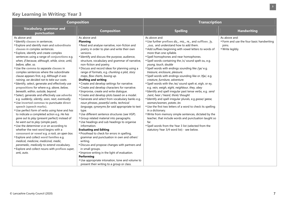| <b>Composition</b>                                                                                                                                                                                                                                                                                                                                                                                                                                                                                                                                                                                                                                                                                                                                                                                                                                                                                                                                                                                                                                                                                                                                                                                                                                                                                                                           |                                                                                                                                                                                                                                                                                                                                                                                                                                                                                                                                                                                                                                                                                                                                                                                                                                                                                                                                                                                                                                                                                                                                                                                                                                                                                         | <b>Transcription</b>                                                                                                                                                                                                                                                                                                                                                                                                                                                                                                                                                                                                                                                                                                                                                                                                                                                                                                                                                                                                                                                                                                                            |                                                                                         |  |
|----------------------------------------------------------------------------------------------------------------------------------------------------------------------------------------------------------------------------------------------------------------------------------------------------------------------------------------------------------------------------------------------------------------------------------------------------------------------------------------------------------------------------------------------------------------------------------------------------------------------------------------------------------------------------------------------------------------------------------------------------------------------------------------------------------------------------------------------------------------------------------------------------------------------------------------------------------------------------------------------------------------------------------------------------------------------------------------------------------------------------------------------------------------------------------------------------------------------------------------------------------------------------------------------------------------------------------------------|-----------------------------------------------------------------------------------------------------------------------------------------------------------------------------------------------------------------------------------------------------------------------------------------------------------------------------------------------------------------------------------------------------------------------------------------------------------------------------------------------------------------------------------------------------------------------------------------------------------------------------------------------------------------------------------------------------------------------------------------------------------------------------------------------------------------------------------------------------------------------------------------------------------------------------------------------------------------------------------------------------------------------------------------------------------------------------------------------------------------------------------------------------------------------------------------------------------------------------------------------------------------------------------------|-------------------------------------------------------------------------------------------------------------------------------------------------------------------------------------------------------------------------------------------------------------------------------------------------------------------------------------------------------------------------------------------------------------------------------------------------------------------------------------------------------------------------------------------------------------------------------------------------------------------------------------------------------------------------------------------------------------------------------------------------------------------------------------------------------------------------------------------------------------------------------------------------------------------------------------------------------------------------------------------------------------------------------------------------------------------------------------------------------------------------------------------------|-----------------------------------------------------------------------------------------|--|
| Vocabulary, grammar and<br><b>Composition</b><br>punctuation                                                                                                                                                                                                                                                                                                                                                                                                                                                                                                                                                                                                                                                                                                                                                                                                                                                                                                                                                                                                                                                                                                                                                                                                                                                                                 |                                                                                                                                                                                                                                                                                                                                                                                                                                                                                                                                                                                                                                                                                                                                                                                                                                                                                                                                                                                                                                                                                                                                                                                                                                                                                         | <b>Spelling</b>                                                                                                                                                                                                                                                                                                                                                                                                                                                                                                                                                                                                                                                                                                                                                                                                                                                                                                                                                                                                                                                                                                                                 | <b>Handwriting</b>                                                                      |  |
| As above and:<br><b>Identify clauses in sentences.</b><br><b>Explore and identify main and subordinate</b><br>clauses in complex sentences.<br><b>Explore, identify and create complex</b><br>sentences using a range of conjunctions e.g.<br>when, if because, although, while, since, until,<br>before, after, so.<br>Use the comma to separate clauses in<br>complex sentences where the subordinate<br>clause appears first, e.g. Although it was<br>raining, we decided not to take our coats.<br>"Identify, select, generate and effectively use<br>prepositions for where e.g. above, below,<br>beneath, within, outside, beyond.<br>Select, generate and effectively use adverbs<br>e.g. suddenly, silently, soon, next, eventually.<br>"Use inverted commas to punctuate direct<br>speech (speech marks).<br>Use perfect form of verbs using have and has<br>to indicate a completed action e.g. He has<br>gone out to play (present perfect) instead of<br>he went out to play (simple past).<br>Use the determiner a or an according to<br>whether the next word begins with a<br>consonant or vowel e.g. a rock, an open box.<br>" Explore and collect word families e.g.<br>medical, medicine, medicinal, medic,<br>paramedic, medically to extend vocabulary.<br>Explore and collect nouns with prefixes super,<br>anti, auto. | As above and:<br><b>Planning</b><br>Read and analyse narrative, non-fiction and<br>poetry in order to plan and write their own<br>versions.<br>"Identify and discuss the purpose, audience,<br>structure, vocabulary and grammar of narrative,<br>non-fiction and poetry.<br>"Discuss and record ideas for planning using a<br>range of formats, e.g. chunking a plot, story<br>maps, flow charts, boxing up.<br><b>Drafting and writing</b><br>"Create and develop settings for narrative.<br>"Create and develop characters for narrative.<br>"Improvise, create and write dialogue.<br>"Create and develop plots based on a model.<br>Generate and select from vocabulary banks e.g.<br>noun phrases, powerful verbs, technical<br>language, synonyms for said appropriate to text<br>type.<br>Use different sentence structures (see VGP).<br>Group related material into paragraphs.<br>Use headings and sub headings to organise<br>information.<br><b>Evaluating and Editing</b><br>■ Proofread to check for errors in spelling,<br>grammar and punctuation in own and others'<br>writing.<br>"Discuss and propose changes with partners and<br>in small groups.<br>"Improve writing in the light of evaluation.<br>Performing<br>Use appropriate intonation, tone and volume to | As above and:<br>"Use further prefixes dis_, mis_, re_, and suffixes _ly,<br>_ous, and understand how to add them.<br>Add suffixes beginning with vowel letters to words of<br>more than one syllable.<br>"Spell homophones and near homophones.<br>" Spell words containing the /^/ sound spelt ou, e.g.<br>young, touch, double<br>" Spell words with endings sounding like /3a/ e.g.<br>treasure, enclosure, pleasure.<br>" Spell words with endings sounding like or /t[a/, e.g.<br>creature, furniture, adventure.<br>"Spell words with the /eɪ/ sound spelt ei, eigh, or ey,<br>e.g. vein, weigh, eight, neighbour, they, obey<br>"Identify and spell irregular past tense verbs, e.g. send<br>/sent, hear / heard, think/ thought<br>"Identify and spell irregular plurals, e.g goose/ geese,<br>woman/women, potato /es<br>Use the first two letters of a word to check its spelling<br>in a dictionary.<br>"Write from memory simple sentences, dictated by the<br>teacher, that include words and punctuation taught so<br>far.<br>"Spell words from the Year 3 list (selected from the<br>statutory Year 3/4 word list) - see below. | As above and:<br>"Form and use the four basic handwriting<br>joins.<br>■ Write legibly. |  |
|                                                                                                                                                                                                                                                                                                                                                                                                                                                                                                                                                                                                                                                                                                                                                                                                                                                                                                                                                                                                                                                                                                                                                                                                                                                                                                                                              | present their writing to a group or class.                                                                                                                                                                                                                                                                                                                                                                                                                                                                                                                                                                                                                                                                                                                                                                                                                                                                                                                                                                                                                                                                                                                                                                                                                                              |                                                                                                                                                                                                                                                                                                                                                                                                                                                                                                                                                                                                                                                                                                                                                                                                                                                                                                                                                                                                                                                                                                                                                 |                                                                                         |  |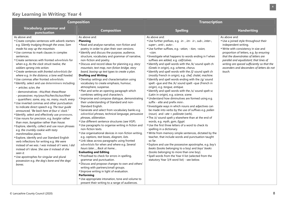| <b>Composition</b>                                                                                                                                                                                                                                                                                                                                                                                                                                                                                                                                                                                                                                                                                                                                                                                                                                                                                                                                                                                                                                                                                                                                                                                                                                                                                                                                                                                                                                                                                                                                                                                                                                                                                                                                                                                                                                                                                                                                                                                                                                                                                                                                                                                                                                                                                                                                                                                                                                                                                                                                                                                                                                                                                                                                                                                                                                                                                                                                                                                                                                                                           |                                                                                                                                                                                                                                                                                                                                                                                                                                                                                                                                                                                                                                                                                                                                                                                                                                                                                                                                                                                                                                                                                                                                                                                                                                                                                                                                                                                                                                                                                                                                                                            | <b>Transcription</b>                                                                                                                                                                                                                                                                                                                                    |  |  |
|----------------------------------------------------------------------------------------------------------------------------------------------------------------------------------------------------------------------------------------------------------------------------------------------------------------------------------------------------------------------------------------------------------------------------------------------------------------------------------------------------------------------------------------------------------------------------------------------------------------------------------------------------------------------------------------------------------------------------------------------------------------------------------------------------------------------------------------------------------------------------------------------------------------------------------------------------------------------------------------------------------------------------------------------------------------------------------------------------------------------------------------------------------------------------------------------------------------------------------------------------------------------------------------------------------------------------------------------------------------------------------------------------------------------------------------------------------------------------------------------------------------------------------------------------------------------------------------------------------------------------------------------------------------------------------------------------------------------------------------------------------------------------------------------------------------------------------------------------------------------------------------------------------------------------------------------------------------------------------------------------------------------------------------------------------------------------------------------------------------------------------------------------------------------------------------------------------------------------------------------------------------------------------------------------------------------------------------------------------------------------------------------------------------------------------------------------------------------------------------------------------------------------------------------------------------------------------------------------------------------------------------------------------------------------------------------------------------------------------------------------------------------------------------------------------------------------------------------------------------------------------------------------------------------------------------------------------------------------------------------------------------------------------------------------------------------------------------------|----------------------------------------------------------------------------------------------------------------------------------------------------------------------------------------------------------------------------------------------------------------------------------------------------------------------------------------------------------------------------------------------------------------------------------------------------------------------------------------------------------------------------------------------------------------------------------------------------------------------------------------------------------------------------------------------------------------------------------------------------------------------------------------------------------------------------------------------------------------------------------------------------------------------------------------------------------------------------------------------------------------------------------------------------------------------------------------------------------------------------------------------------------------------------------------------------------------------------------------------------------------------------------------------------------------------------------------------------------------------------------------------------------------------------------------------------------------------------------------------------------------------------------------------------------------------------|---------------------------------------------------------------------------------------------------------------------------------------------------------------------------------------------------------------------------------------------------------------------------------------------------------------------------------------------------------|--|--|
| <b>Vocabulary, grammar and</b><br><b>Composition</b><br>punctuation                                                                                                                                                                                                                                                                                                                                                                                                                                                                                                                                                                                                                                                                                                                                                                                                                                                                                                                                                                                                                                                                                                                                                                                                                                                                                                                                                                                                                                                                                                                                                                                                                                                                                                                                                                                                                                                                                                                                                                                                                                                                                                                                                                                                                                                                                                                                                                                                                                                                                                                                                                                                                                                                                                                                                                                                                                                                                                                                                                                                                          | <b>Spelling</b>                                                                                                                                                                                                                                                                                                                                                                                                                                                                                                                                                                                                                                                                                                                                                                                                                                                                                                                                                                                                                                                                                                                                                                                                                                                                                                                                                                                                                                                                                                                                                            | <b>Handwriting</b>                                                                                                                                                                                                                                                                                                                                      |  |  |
| As above and:<br>As above and:<br>"Create complex sentences with adverb starters<br><b>Planning</b><br>e.g. Silently trudging through the snow, Sam<br>Read and analyse narrative, non-fiction and<br>poetry in order to plan their own versions.<br>made his way up the mountain.<br>Use commas to mark clauses in complex<br>"Identify and discuss the purpose, audience,<br>structure, vocabulary and grammar of narrative,<br>sentences.<br>Create sentences with fronted adverbials for<br>non-fiction and poetry.<br>"Discuss and record ideas for planning e.g. story<br>when e.g. As the clock struck twelve, the<br>mountain, text map, non-fiction bridge, story<br>soldiers sprang into action.<br>" Create sentences with fronted adverbials for<br>board, boxing-up text types to create a plan.<br>where e.g. In the distance, a lone wolf howled.<br><b>Drafting and Writing</b><br>Use commas after fronted adverbials.<br>" Develop settings and characterisation using<br>"Identify, select and use determiners including:<br>vocabulary to create emphasis, humour,<br>atmosphere, suspense.<br>- articles: a/an, the<br>Plan and write an opening paragraph which<br>- demonstratives : this/that; these/those<br>combines setting and character/s.<br>- possessives: my/your/his/her/its/our/their<br>Improvise and compose dialogue, demonstrating<br>- quantifiers: some, any, no, many, much, every<br>their understanding of Standard and non-<br>Use inverted commas and other punctuation<br>Standard English.<br>to indicate direct speech e.g. The tour quide<br>Generate and select from vocabulary banks e.g.<br>announced, "Be back here at four o' clock."<br>adverbial phrases, technical language, persuasive<br>"Identify, select and effectively use pronouns.<br>phrases, alliteration.<br>Use nouns for precision, e.g. burglar rather<br>Use different sentence structures (see VGP).<br>than man, bungalow rather than house.<br>Use paragraphs to organise writing in fiction and<br>Explore, identify, collect and use noun phrases<br>non-fiction texts.<br>e.g. the crumbly cookie with tasty<br>Use organisational devices in non-fiction writing,<br>marshmallow pieces.<br>e.g. captions, text boxes, diagram, lists.<br><b>Explore, identify and use Standard English</b><br>Link ideas across paragraphs using fronted<br>verb inflections for writing e.g. We were<br>adverbials for when and where e.g. Several<br>instead of we was. I was instead of I were, I did<br>hours later, Back at home<br>instead of I done. She saw it instead of she<br><b>Evaluating and Editing</b><br>seen it.<br>■ Proofread to check for errors in spelling,<br>Use apostrophes for singular and plural<br>grammar and punctuation.<br>possession e.g. the dog's bone and the dogs'<br>"Discuss and propose changes to own and others'<br>bones.<br>writing with partners/small groups.<br>" Improve writing in light of evaluation.<br>Performing<br>Use appropriate intonation, tone and volume to<br>present their writing to a range of audiences. | As above and:<br>"Use further prefixes, e.g. in-, im- ir-, sub-, inter-,<br>super-, anti-, auto-.<br>Use further suffixes, e.g. -ation, - tion, -ssion,<br>$-cian.$<br>Investigate what happens to words ending in f when<br>suffixes are added, e.g. calf/calves.<br>"Identify and spell words with the /k/ sound spelt ch<br>(Greek in origin), e.g. scheme, chorus.<br>"Identify and spell words with the /ʃ/ sound spelt ch<br>(mostly French in origin), e.g. chef, chalet, machine.<br>"Identify and spell words ending with the /g/ sound<br>spelt -gue and the /k/ sound spelt -que (French in<br>origin), e.g. tongue, antique.<br>"Identify and spell words with the /s/ sound spelt sc<br>(Latin in origin), e.g. science, scene.<br>Understand how diminutives are formed using e.g.<br>suffix - ette and prefix mini-.<br>Investigate ways in which nouns and adjectives can<br>be made into verbs by the use of suffixes e.g. pollen<br>(noun) and $-\alpha t e = \text{pollinate (verb)}.$<br>"The /I/ sound spelt y elsewhere than at the end of<br>words, e.g. myth, gym, Egypt.<br>Use the first three letters of a word to check its<br>spelling in a dictionary.<br>"Write from memory simple sentences, dictated by the<br>teacher, that include words and punctuation taught<br>so far.<br>Explore and use the possessive apostrophe, e.g. boy's<br>books (books belonging to a boy) and boys' books<br>(books belonging to more than one boy).<br>Spell words from the Year 4 list (selected from the<br>statutory Year 3/4 word list) - see below. | As above and:<br>Use a joined style throughout their<br>independent writing.<br>"Write with consistency in size and<br>proportion of letters, e.g. by ensuring<br>that the downstrokes of letters are<br>parallel and equidistant; that lines of<br>writing are spaced sufficiently so that the<br>ascenders and descenders of letters do not<br>touch. |  |  |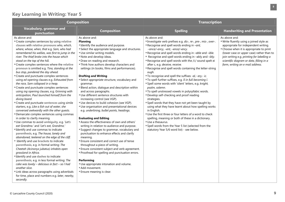| <b>Composition</b>                                                                                                                                                                                                                                                                                                                                                                                                                                                                                                                                                                                                                                                                                                                                                                                                                                                                                                                                                                                                                                                                                                                                                                                                                                                                                                                                                                                                                                                                                                                                                                                                                     |                                                                                                                                                                                                                                                                                                                                                                                                                                                                                                                                                                                                                                                                                                                                                                                                                                                                                                                                                                                                                                                                                                                                                                                                                                                                                  | <b>Transcription</b>                                                                                                                                                                                                                                                                                                                                                                                                                                                                                                                                                                                                                                                                                                                                                                                                                                                                                                                                                                                                                                                                                                                        |                                                                                                                                                                                                                                                                                                                         |  |
|----------------------------------------------------------------------------------------------------------------------------------------------------------------------------------------------------------------------------------------------------------------------------------------------------------------------------------------------------------------------------------------------------------------------------------------------------------------------------------------------------------------------------------------------------------------------------------------------------------------------------------------------------------------------------------------------------------------------------------------------------------------------------------------------------------------------------------------------------------------------------------------------------------------------------------------------------------------------------------------------------------------------------------------------------------------------------------------------------------------------------------------------------------------------------------------------------------------------------------------------------------------------------------------------------------------------------------------------------------------------------------------------------------------------------------------------------------------------------------------------------------------------------------------------------------------------------------------------------------------------------------------|----------------------------------------------------------------------------------------------------------------------------------------------------------------------------------------------------------------------------------------------------------------------------------------------------------------------------------------------------------------------------------------------------------------------------------------------------------------------------------------------------------------------------------------------------------------------------------------------------------------------------------------------------------------------------------------------------------------------------------------------------------------------------------------------------------------------------------------------------------------------------------------------------------------------------------------------------------------------------------------------------------------------------------------------------------------------------------------------------------------------------------------------------------------------------------------------------------------------------------------------------------------------------------|---------------------------------------------------------------------------------------------------------------------------------------------------------------------------------------------------------------------------------------------------------------------------------------------------------------------------------------------------------------------------------------------------------------------------------------------------------------------------------------------------------------------------------------------------------------------------------------------------------------------------------------------------------------------------------------------------------------------------------------------------------------------------------------------------------------------------------------------------------------------------------------------------------------------------------------------------------------------------------------------------------------------------------------------------------------------------------------------------------------------------------------------|-------------------------------------------------------------------------------------------------------------------------------------------------------------------------------------------------------------------------------------------------------------------------------------------------------------------------|--|
| <b>Vocabulary, grammar and</b><br>punctuation                                                                                                                                                                                                                                                                                                                                                                                                                                                                                                                                                                                                                                                                                                                                                                                                                                                                                                                                                                                                                                                                                                                                                                                                                                                                                                                                                                                                                                                                                                                                                                                          | <b>Composition</b>                                                                                                                                                                                                                                                                                                                                                                                                                                                                                                                                                                                                                                                                                                                                                                                                                                                                                                                                                                                                                                                                                                                                                                                                                                                               | <b>Spelling</b>                                                                                                                                                                                                                                                                                                                                                                                                                                                                                                                                                                                                                                                                                                                                                                                                                                                                                                                                                                                                                                                                                                                             | <b>Handwriting and Presentation</b>                                                                                                                                                                                                                                                                                     |  |
| As above and:<br>"Create complex sentences by using relative<br>clauses with relative pronouns who, which,<br>where, whose, when, that e.g. Sam, who had<br>remembered his wellies, was first to jump in the<br>river. The thief broke into the house which<br>stood on the top of the hill.<br>"Create complex sentences where the relative<br>pronoun is omitted e.g. Tina, standing at the<br>bus stop, pondered the day ahead.<br>"Create and punctuate complex sentences<br>using ed opening clauses e.g. Exhausted from<br>the race, Sam collapsed in a heap.<br>Create and punctuate complex sentences<br>using ing opening clauses, e.g. Grinning with<br>anticipation, Paul launched himself from the<br>diving board.<br>"Create and punctuate sentences using simile<br>starters, e.g. Like a fish out of water, she<br>conversed awkwardly with the other guests.<br>Demarcate complex sentences using commas<br>in order to clarify meaning.<br>"Use commas to avoid ambiguity, e.g. 'Let's<br>eat Grandma.' and 'Let's eat, Grandma.'<br>Identify and use commas to indicate<br>parenthesis, e.g. The house, lonely and<br>abandoned, teetered on the edge of the cliff.<br><b>I</b> Identify and use brackets to indicate<br>parenthesis, e.g. in formal writing: The<br>Cheetah (Acinonyx jubatus) inhabits open<br>grassland in Africa.<br>"Identify and use dashes to indicate<br>parenthesis, e.g. in less formal writing: The<br>cake was lovely - delicious in fact - so I had<br>another slice.<br>Link ideas across paragraphs using adverbials<br>for time, place and numbers e.g. later, nearby,<br>secondly. | As above and:<br><b>Planning</b><br><b>Identify the audience and purpose.</b><br>Select the appropriate language and structures.<br>Use similar writing models.<br>Note and develop ideas.<br>" Draw on reading and research.<br>"Think how authors develop characters and<br>settings (in books, films and performances).<br><b>Drafting and Writing</b><br>Select appropriate structure, vocabulary and<br>grammar.<br>Blend action, dialogue and description within<br>and across paragraphs.<br>■ Use different sentence structures with<br>increasing control (see VGP).<br>Use devices to build cohesion (see VGP).<br>Use organisation and presentational devices<br>e.g. underlining, bullet points, headings.<br><b>Evaluating and Editing</b><br>" Assess the effectiveness of own and others'<br>writing in relation to audience and purpose.<br>"Suggest changes to grammar, vocabulary and<br>punctuation to enhance effects and clarify<br>meaning.<br><b>Ensure consistent and correct use of tense</b><br>throughout a piece of writing.<br><b>Ensure consistent subject and verb agreement.</b><br>■ Proofread for spelling and punctuation errors.<br>Performing<br>Use appropriate intonation and volume.<br>Add movement.<br><b>Ensure meaning is clear.</b> | As above and:<br>"Investigate verb prefixes e.g. dis-, re-, pre-, mis-, over-.<br>Recognise and spell words ending in -ant,<br>-ance/-ancy, -ent, -ence/-ency.<br>Recognise and spell words ending in -able and -ible.<br>Recognise and spell words ending in -ably and -ibly.<br>Recognise and spell words with the /i:/ sound spelt ei<br>after c, e.g. deceive, receive.<br>Recognise and spell words containing the letter-string<br>ough.<br>" To recognise and spell the suffixes -al,- ary,- ic.<br>" To spell further suffixes, e.g. Il in full becoming I.<br>" Spell some words with 'silent' letters, e.g. knight,<br>psalm, solemn.<br>" To spell unstressed vowels in polysyllabic words.<br>" Develop self-checking and proof reading<br>strategies.<br>"Spell words that they have not yet been taught by<br>using what they have learnt about how spelling works<br>in English.<br>Use the first three or four letters of a word to check<br>spelling, meaning or both of these in a dictionary.<br>Use a thesaurus.<br>" Spell words from the Year 5 list (selected from the<br>statutory Year 5/6 word list) - see below. | As above and:<br>■ Write fluently using a joined style as<br>appropriate for independent writing.<br>"Choose when it is appropriate to print<br>(lower case or upper case) rather than to<br>join writing e.g. printing for labelling a<br>scientific diagram or data, filling in a<br>form, writing an e mail address. |  |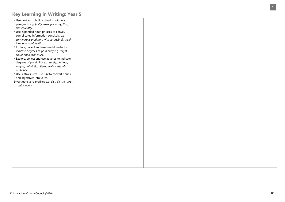| Use devices to build cohesion within a               |  |  |
|------------------------------------------------------|--|--|
| paragraph e.g. firstly, then, presently, this,       |  |  |
| subsequently.                                        |  |  |
| Use expanded noun phrases to convey                  |  |  |
| complicated information concisely, e.g.              |  |  |
| carnivorous predators with surprisingly weak         |  |  |
| jaws and small teeth.                                |  |  |
| " Explore, collect and use modal verbs to            |  |  |
| indicate degrees of possibility e.g. might,          |  |  |
| could, shall, will, must.                            |  |  |
| Explore, collect and use adverbs to indicate         |  |  |
| degrees of possibility e.g. surely, perhaps,         |  |  |
| maybe, definitely, alternatively, certainly,         |  |  |
| probably.                                            |  |  |
| Use suffixes -ate, -ise, -ify to convert nouns       |  |  |
| and adjectives into verbs.                           |  |  |
| Investigate verb prefixes e.g. dis-, de-, re-, pre-, |  |  |
| mis-, over-.                                         |  |  |
|                                                      |  |  |
|                                                      |  |  |
|                                                      |  |  |
|                                                      |  |  |
|                                                      |  |  |
|                                                      |  |  |
|                                                      |  |  |
|                                                      |  |  |
|                                                      |  |  |
|                                                      |  |  |
|                                                      |  |  |
|                                                      |  |  |
|                                                      |  |  |
|                                                      |  |  |
|                                                      |  |  |
|                                                      |  |  |
|                                                      |  |  |
|                                                      |  |  |
|                                                      |  |  |
|                                                      |  |  |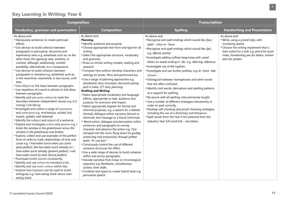| <b>Composition</b>                                                                                                                                                                                                                                                                                                                                                                                                                                                                                                                                                                                                                                                                                                                                                                                                                                                                                                                                                                                                                                                                                                                                                                                                                                                                                                                                                                                                                                                                                                                                                                                                                                                                            |                                                                                                                                                                                                                                                                                                                                                                                                                                                                                                                                                                                                                                                                                                                                                                                                                                                                                                                                                                                                                                                                                                                                                                                                                                                                                                                                                                                                                                                                                                      | <b>Transcription</b>                                                                                                                                                                                                                                                                                                                                                                                                                                                                                                                                                                                                                                                                                                                                                                                                                                                                                                                                                    |                                                                                                                                                                                                                                       |  |
|-----------------------------------------------------------------------------------------------------------------------------------------------------------------------------------------------------------------------------------------------------------------------------------------------------------------------------------------------------------------------------------------------------------------------------------------------------------------------------------------------------------------------------------------------------------------------------------------------------------------------------------------------------------------------------------------------------------------------------------------------------------------------------------------------------------------------------------------------------------------------------------------------------------------------------------------------------------------------------------------------------------------------------------------------------------------------------------------------------------------------------------------------------------------------------------------------------------------------------------------------------------------------------------------------------------------------------------------------------------------------------------------------------------------------------------------------------------------------------------------------------------------------------------------------------------------------------------------------------------------------------------------------------------------------------------------------|------------------------------------------------------------------------------------------------------------------------------------------------------------------------------------------------------------------------------------------------------------------------------------------------------------------------------------------------------------------------------------------------------------------------------------------------------------------------------------------------------------------------------------------------------------------------------------------------------------------------------------------------------------------------------------------------------------------------------------------------------------------------------------------------------------------------------------------------------------------------------------------------------------------------------------------------------------------------------------------------------------------------------------------------------------------------------------------------------------------------------------------------------------------------------------------------------------------------------------------------------------------------------------------------------------------------------------------------------------------------------------------------------------------------------------------------------------------------------------------------------|-------------------------------------------------------------------------------------------------------------------------------------------------------------------------------------------------------------------------------------------------------------------------------------------------------------------------------------------------------------------------------------------------------------------------------------------------------------------------------------------------------------------------------------------------------------------------------------------------------------------------------------------------------------------------------------------------------------------------------------------------------------------------------------------------------------------------------------------------------------------------------------------------------------------------------------------------------------------------|---------------------------------------------------------------------------------------------------------------------------------------------------------------------------------------------------------------------------------------|--|
| Vocabulary, grammar and punctuation                                                                                                                                                                                                                                                                                                                                                                                                                                                                                                                                                                                                                                                                                                                                                                                                                                                                                                                                                                                                                                                                                                                                                                                                                                                                                                                                                                                                                                                                                                                                                                                                                                                           | <b>Composition</b>                                                                                                                                                                                                                                                                                                                                                                                                                                                                                                                                                                                                                                                                                                                                                                                                                                                                                                                                                                                                                                                                                                                                                                                                                                                                                                                                                                                                                                                                                   | <b>Spelling</b>                                                                                                                                                                                                                                                                                                                                                                                                                                                                                                                                                                                                                                                                                                                                                                                                                                                                                                                                                         | <b>Handwriting and Presentation</b>                                                                                                                                                                                                   |  |
| As above and:<br>■ Manipulate sentences to create particular<br>effects.<br>Use devices to build cohesion between<br>paragraphs in persuasive, discursive and<br>explanatory texts e.g. adverbials such as: on the<br>other hand, the opposing view, similarly, in<br>contrast, although, additionally, another<br>possibility, alternatively, as a consequence.<br>Use devices to build cohesion between<br>paragraphs in narrative e.g. adverbials such as:<br>in the meantime, meanwhile, in due course, until<br>then.<br>"Use ellipsis to link ideas between paragraphs.<br>Use repetition of a word or phrase to link ideas<br>between paragraphs.<br>"Identify and use semi-colons to mark the<br>boundary between independent clauses e.g. It is<br>raining; I am fed up.<br>"Investigate and collect a range of synonyms<br>and antonyms e.g. mischievous, wicked, evil,<br>impish, spiteful, well-behaved.<br>"Identify the subject and object of a sentence.<br>Explore and investigate active and passive e.g. /<br>broke the window in the greenhouse versus the<br>window in the greenhouse was broken.<br>" Explore, collect and use examples of the perfect<br>form of verbs to mark relationships of time and<br>cause e.g. I had eaten lunch when you came<br>(past perfect); She has eaten lunch already or I<br>have eaten lunch already (present perfect); I will<br>have eaten lunch by then (future perfect).<br>" Punctuate bullet points consistently.<br>"Identify and use colons to introduce a list.<br>"Identify and use semi-colons within lists.<br>" Explore how hyphens can be used to avoid<br>ambiguity e.g. man eating shark versus man-<br>eating shark. | As above and:<br><b>Planning</b><br>"Identify audience and purpose.<br>"Choose appropriate text-form and type for all<br>writing.<br>Select the appropriate structure, vocabulary<br>and grammar.<br>" Draw on similar writing models, reading and<br>research.<br>"Compare how authors develop characters and<br>settings (in books, films and performances).<br>Use a range of planning approaches e.g.<br>storyboard, story mountain, discussion group,<br>post-it notes, ICT story planning.<br><b>Drafting and Writing</b><br>Select appropriate vocabulary and language<br>effects, appropriate to task, audience and<br>purpose, for precision and impact.<br>Select appropriate register for formal and<br>informal purposes, e.g. a speech for a debate<br>(formal), dialogue within narrative (formal or<br>informal), text message to a friend (informal).<br>Blend action, dialogue and description within<br>sentences and paragraphs to convey<br>character and advance the action e.g. Tom<br>stomped into the room, flung down his grubby,<br>school bag and announced, through gritted<br>teeth, "It's not fair!"<br>"Consciously control the use of different<br>sentence structures for effect.<br>Use a wide range of devices to build cohesion<br>within and across paragraphs.<br>" Deviate narrative from linear or chronological<br>sequence e.g. flashbacks, simultaneous<br>actions, time-shifts.<br>"Combine text-types to create hybrid texts e.g.<br>persuasive speech. | As above and:<br>"Recognise and spell endings which sound like / [as/,<br>spelt - $cious$ or - $tious$ .<br>Recognise and spell endings which sound like /[al/,<br>e.g. official, partial.<br>Investigate adding suffixes beginning with vowel<br>letters to words ending in -fer, e.g. referring, reference.<br>Investigate use of the hyphen.<br>"Investigate and use further prefixes, e.g. bi- trans- tele-<br>circum-.<br>" Distinguish between homophones and other words<br>that are often confused.<br>"Identify root words, derivations and spelling patterns<br>as a support for spelling.<br>Be secure with all spelling rules previously taught.<br>Use a number of different strategies interactively in<br>order to spell correctly.<br>" Develop self-checking and proof-checking strategies,<br>including the use of a dictionary and thesaurus.<br>" Spell words from the Year 6 list (selected from the<br>statutory Year 5/6 word list) - see below. | As above and:<br>"Write, using a joined style, with<br>increasing speed.<br>" Choose the writing implement that is<br>best suited for a task e.g. pencil for quick<br>notes, handwriting pen for letters, marker<br>pens for posters. |  |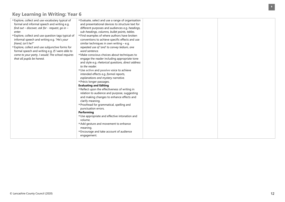| " Explore, collect and use vocabulary typical of    | ■ Evaluate, select and use a range of organisation  |  |
|-----------------------------------------------------|-----------------------------------------------------|--|
| formal and informal speech and writing e.g.         | and presentational devices to structure text for    |  |
| find out – discover, ask for - request, go in –     | different purposes and audiences e.g. headings,     |  |
| enter.                                              | sub-headings, columns, bullet points, tables.       |  |
| " Explore, collect and use question tags typical of | "Find examples of where authors have broken         |  |
| informal speech and writing e.g. "He's your         | conventions to achieve specific effects and use     |  |
| friend, isn't he?"                                  | similar techniques in own writing $-$ e.g.          |  |
| " Explore, collect and use subjunctive forms for    | repeated use of 'and' to convey tedium, one         |  |
| formal speech and writing e.g. If I were able to    | word sentence.                                      |  |
| come to your party, I would; The school requires    | " Make conscious choices about techniques to        |  |
| that all pupils be honest.                          | engage the reader including appropriate tone        |  |
|                                                     | and style e.g. rhetorical questions, direct address |  |
|                                                     | to the reader.                                      |  |
|                                                     | Use active and passive voice to achieve             |  |
|                                                     | intended effects e.g. formal reports,               |  |
|                                                     | explanations and mystery narrative.                 |  |
|                                                     | Précis longer passages.                             |  |
|                                                     | <b>Evaluating and Editing</b>                       |  |
|                                                     | Reflect upon the effectiveness of writing in        |  |
|                                                     | relation to audience and purpose, suggesting        |  |
|                                                     | and making changes to enhance effects and           |  |
|                                                     | clarify meaning.                                    |  |
|                                                     | Proofread for grammatical, spelling and             |  |
|                                                     | punctuation errors.                                 |  |
|                                                     | Performing                                          |  |
|                                                     | Use appropriate and effective intonation and        |  |
|                                                     | volume.                                             |  |
|                                                     | Add gesture and movement to enhance                 |  |
|                                                     | meaning.                                            |  |
|                                                     | ■ Encourage and take account of audience            |  |
|                                                     | engagement.                                         |  |
|                                                     |                                                     |  |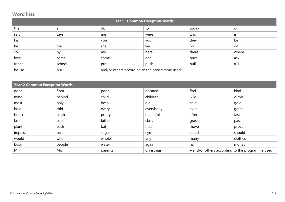#### **Word lists**

| <b>Year 1 Common Exception Words</b> |        |                                               |      |       |       |  |
|--------------------------------------|--------|-----------------------------------------------|------|-------|-------|--|
| the                                  | a      | do                                            | to   | today | of    |  |
| said                                 | says   | are                                           | were | was   | IS    |  |
| his                                  |        | you                                           | your | they  | be    |  |
| he                                   | me     | she                                           | we   | no    | go    |  |
| so                                   | by     | my                                            | here | there | where |  |
| love                                 | come   | some                                          | one  | once  | ask   |  |
| friend                               | school | put                                           | push | pull  | full  |  |
| house                                | our    | and/or others according to the programme used |      |       |       |  |

| <b>Year 2 Common Exception Words</b> |        |         |           |                                                 |         |
|--------------------------------------|--------|---------|-----------|-------------------------------------------------|---------|
| door                                 | floor  | poor    | because   | find                                            | kind    |
| mind                                 | behind | child   | children  | wild                                            | climb   |
| most                                 | only   | both    | old       | cold                                            | gold    |
| hold                                 | told   | every   | everybody | even                                            | great   |
| break                                | steak  | pretty  | beautiful | after                                           | fast    |
| last                                 | past   | father  | class     | grass                                           | pass    |
| plant                                | path   | bath    | hour      | move                                            | prove   |
| improve                              | sure   | sugar   | eye       | could                                           | should  |
| would                                | who    | whole   | any       | many                                            | clothes |
| busy                                 | people | water   | again     | half                                            | money   |
| Mr                                   | Mrs    | parents | Christmas | - and/or others according to the programme used |         |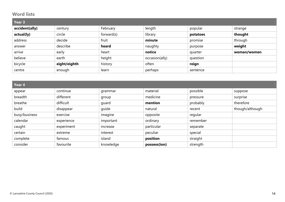#### **Word lists**

| Year 3         |              |            |                |          |             |
|----------------|--------------|------------|----------------|----------|-------------|
| accident(ally) | century      | February   | length         | popular  | strange     |
| actual(ly)     | circle       | forward(s) | library        | potatoes | thought     |
| address        | decide       | fruit      | minute         | promise  | through     |
| answer         | describe     | heard      | naughty        | purpose  | weight      |
| arrive         | early        | heart      | notice         | quarter  | woman/women |
| believe        | earth        | height     | occasion(ally) | question |             |
| bicycle        | eight/eighth | history    | often          | reign    |             |
| centre         | enough       | learn      | perhaps        | sentence |             |

| Year 4        |            |           |              |          |                 |  |  |
|---------------|------------|-----------|--------------|----------|-----------------|--|--|
| appear        | continue   | grammar   | material     | possible | suppose         |  |  |
| breadth       | different  | group     | medicine     | pressure | surprise        |  |  |
| breathe       | difficult  | guard     | mention      | probably | therefore       |  |  |
| build         | disappear  | quide     | natural      | recent   | though/although |  |  |
| busy/business | exercise   | imagine   | opposite     | regular  |                 |  |  |
| calendar      | experience | important | ordinary     | remember |                 |  |  |
| caught        | experiment | increase  | particular   | separate |                 |  |  |
| certain       | extreme    | interest  | peculiar     | special  |                 |  |  |
| complete      | famous     | island    | position     | straight |                 |  |  |
| consider      | favourite  | knowledge | possess(ion) | strength |                 |  |  |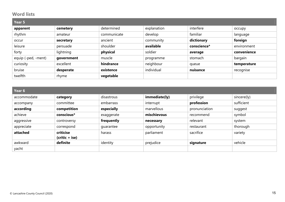#### **Word lists**

| Year 5              |            |             |             |             |             |  |  |
|---------------------|------------|-------------|-------------|-------------|-------------|--|--|
| apparent            | cemetery   | determined  | explanation | interfere   | occupy      |  |  |
| rhythm              | amateur    | communicate | develop     | familiar    | language    |  |  |
| occur               | secretary  | ancient     | community   | dictionary  | foreign     |  |  |
| leisure             | persuade   | shoulder    | available   | conscience* | environment |  |  |
| forty               | lightning  | physical    | soldier     | average     | convenience |  |  |
| equip (-ped, -ment) | government | muscle      | programme   | stomach     | bargain     |  |  |
| curiosity           | excellent  | hindrance   | neighbour   | queue       | temperature |  |  |
| bruise              | desperate  | existence   | individual  | nuisance    | recognise   |  |  |
| twelfth             | rhyme      | vegetable   |             |             |             |  |  |

| Year 6      |                               |            |               |               |             |  |  |
|-------------|-------------------------------|------------|---------------|---------------|-------------|--|--|
| accommodate | category                      | disastrous | immediate(ly) | privilege     | sincere(ly) |  |  |
| accompany   | committee                     | embarrass  | interrupt     | profession    | sufficient  |  |  |
| according   | competition                   | especially | marvellous    | pronunciation | suggest     |  |  |
| achieve     | conscious*                    | exaggerate | mischievous   | recommend     | symbol      |  |  |
| aggressive  | controversy                   | frequently | necessary     | relevant      | system      |  |  |
| appreciate  | correspond                    | quarantee  | opportunity   | restaurant    | thorough    |  |  |
| attached    | criticise<br>$(critic + ise)$ | harass     | parliament    | sacrifice     | variety     |  |  |
| awkward     | definite                      | identity   | prejudice     | signature     | vehicle     |  |  |
| yacht       |                               |            |               |               |             |  |  |